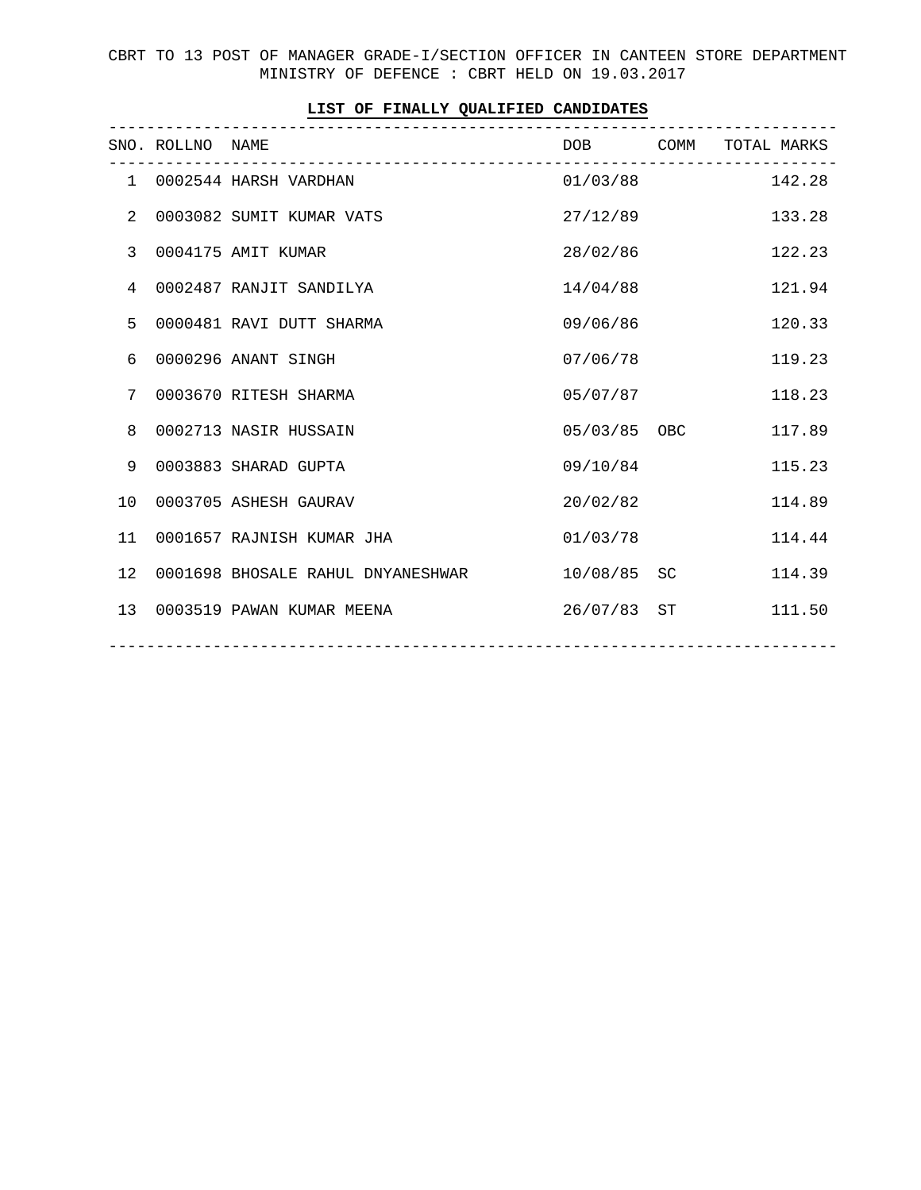CBRT TO 13 POST OF MANAGER GRADE-I/SECTION OFFICER IN CANTEEN STORE DEPARTMENT MINISTRY OF DEFENCE : CBRT HELD ON 19.03.2017

|              | SNO. ROLLNO NAME | --------------------------------- |              | DOB COMM TOTAL MARKS |
|--------------|------------------|-----------------------------------|--------------|----------------------|
|              |                  | 1 0002544 HARSH VARDHAN           |              | 01/03/88 142.28      |
| 2            |                  | 0003082 SUMIT KUMAR VATS          | 27/12/89     | 133.28               |
| $\mathbf{3}$ |                  | 0004175 AMIT KUMAR                | 28/02/86     | 122.23               |
| 4            |                  | 0002487 RANJIT SANDILYA           | 14/04/88     | 121.94               |
| 5            |                  | 0000481 RAVI DUTT SHARMA          | 09/06/86     | 120.33               |
| 6            |                  | 0000296 ANANT SINGH               | 07/06/78     | 119.23               |
| 7            |                  | 0003670 RITESH SHARMA             | 05/07/87     | 118.23               |
| 8            |                  | 0002713 NASIR HUSSAIN             | 05/03/85 OBC | 117.89               |
| 9            |                  | 0003883 SHARAD GUPTA              | 09/10/84     | 115.23               |
| 10           |                  | 0003705 ASHESH GAURAV             | 20/02/82     | 114.89               |
| 11           |                  | 0001657 RAJNISH KUMAR JHA         | 01/03/78     | 114.44               |
| 12           |                  | 0001698 BHOSALE RAHUL DNYANESHWAR | 10/08/85 SC  | 114.39               |
| 13           |                  | 0003519 PAWAN KUMAR MEENA         | 26/07/83 ST  | 111.50               |
|              |                  |                                   |              |                      |

## **LIST OF FINALLY QUALIFIED CANDIDATES**